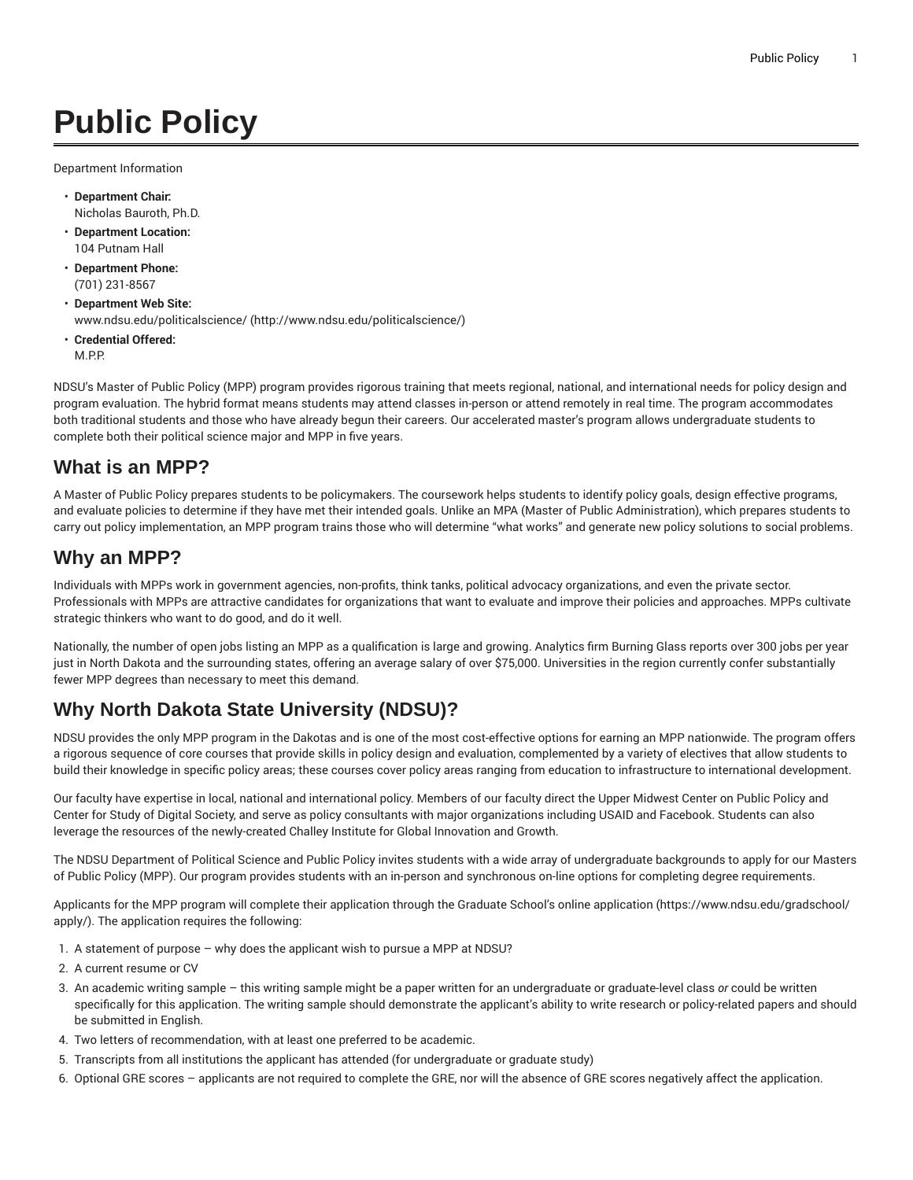# **Public Policy**

Department Information

- **Department Chair:** Nicholas Bauroth, Ph.D.
- **Department Location:** 104 Putnam Hall
- **Department Phone:** (701) 231-8567
- **Department Web Site:** [www.ndsu.edu/politicalscience/ \(http://www.ndsu.edu/politicalscience/\)](http://www.ndsu.edu/politicalscience/)
- **Credential Offered:** M.P.P.

NDSU's Master of Public Policy (MPP) program provides rigorous training that meets regional, national, and international needs for policy design and program evaluation. The hybrid format means students may attend classes in-person or attend remotely in real time. The program accommodates both traditional students and those who have already begun their careers. Our accelerated master's program allows undergraduate students to complete both their political science major and MPP in five years.

## **What is an MPP?**

A Master of Public Policy prepares students to be policymakers. The coursework helps students to identify policy goals, design effective programs, and evaluate policies to determine if they have met their intended goals. Unlike an MPA (Master of Public Administration), which prepares students to carry out policy implementation, an MPP program trains those who will determine "what works" and generate new policy solutions to social problems.

## **Why an MPP?**

Individuals with MPPs work in government agencies, non-profits, think tanks, political advocacy organizations, and even the private sector. Professionals with MPPs are attractive candidates for organizations that want to evaluate and improve their policies and approaches. MPPs cultivate strategic thinkers who want to do good, and do it well.

Nationally, the number of open jobs listing an MPP as a qualification is large and growing. Analytics firm Burning Glass reports over 300 jobs per year just in North Dakota and the surrounding states, offering an average salary of over \$75,000. Universities in the region currently confer substantially fewer MPP degrees than necessary to meet this demand.

## **Why North Dakota State University (NDSU)?**

NDSU provides the only MPP program in the Dakotas and is one of the most cost-effective options for earning an MPP nationwide. The program offers a rigorous sequence of core courses that provide skills in policy design and evaluation, complemented by a variety of electives that allow students to build their knowledge in specific policy areas; these courses cover policy areas ranging from education to infrastructure to international development.

Our faculty have expertise in local, national and international policy. Members of our faculty direct the Upper Midwest Center on Public Policy and Center for Study of Digital Society, and serve as policy consultants with major organizations including USAID and Facebook. Students can also leverage the resources of the newly-created Challey Institute for Global Innovation and Growth.

The NDSU Department of Political Science and Public Policy invites students with a wide array of undergraduate backgrounds to apply for our Masters of Public Policy (MPP). Our program provides students with an in-person and synchronous on-line options for completing degree requirements.

Applicants for the MPP program will complete their application through the Graduate School's [online application](https://www.ndsu.edu/gradschool/apply/) ([https://www.ndsu.edu/gradschool/](https://www.ndsu.edu/gradschool/apply/) [apply/\)](https://www.ndsu.edu/gradschool/apply/). The application requires the following:

- 1. A statement of purpose why does the applicant wish to pursue a MPP at NDSU?
- 2. A current resume or CV
- 3. An academic writing sample this writing sample might be a paper written for an undergraduate or graduate-level class *or* could be written specifically for this application. The writing sample should demonstrate the applicant's ability to write research or policy-related papers and should be submitted in English.
- 4. Two letters of recommendation, with at least one preferred to be academic.
- 5. Transcripts from all institutions the applicant has attended (for undergraduate or graduate study)
- 6. Optional GRE scores applicants are not required to complete the GRE, nor will the absence of GRE scores negatively affect the application.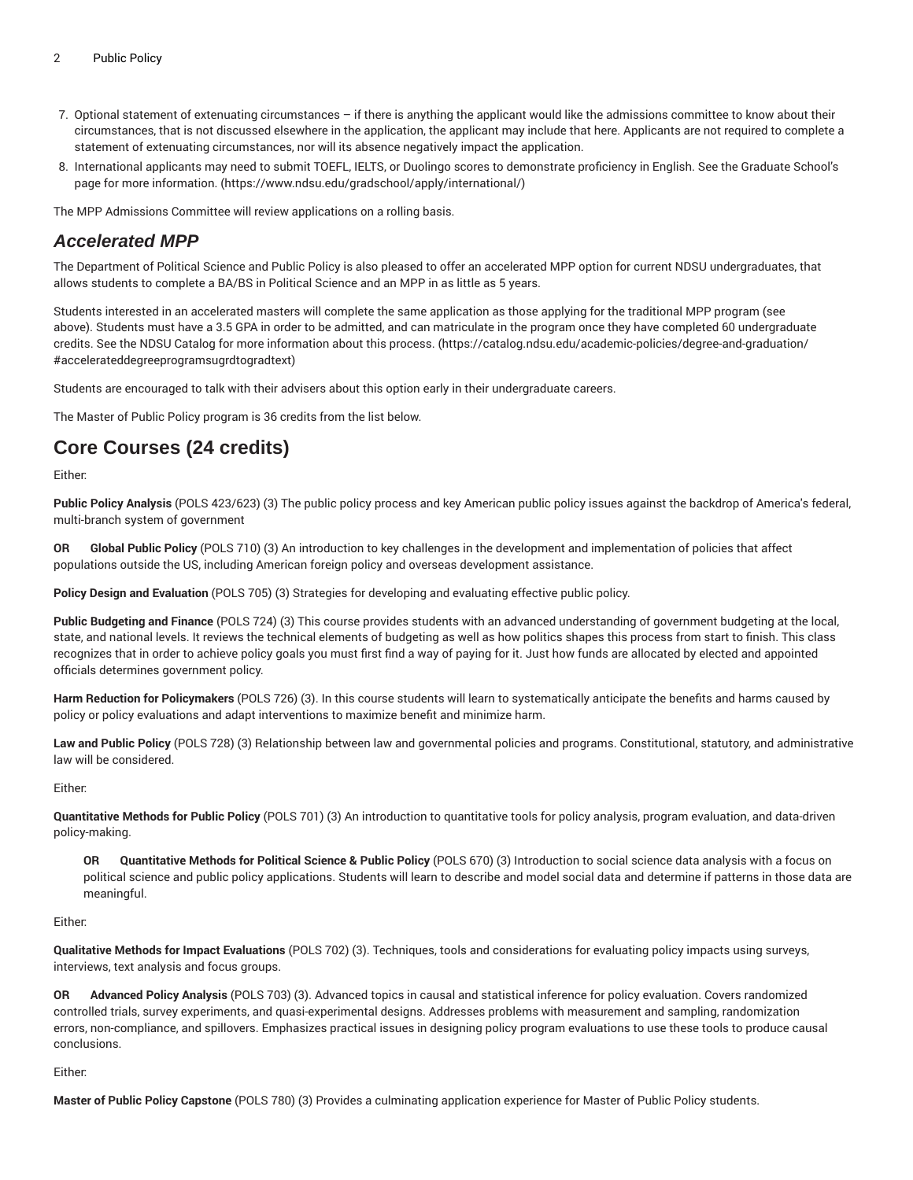- 7. Optional statement of extenuating circumstances if there is anything the applicant would like the admissions committee to know about their circumstances, that is not discussed elsewhere in the application, the applicant may include that here. Applicants are not required to complete a statement of extenuating circumstances, nor will its absence negatively impact the application.
- 8. International applicants may need to submit TOEFL, IELTS, or Duolingo scores to demonstrate proficiency in English. See the [Graduate](https://www.ndsu.edu/gradschool/apply/international/) School's page for more [information.](https://www.ndsu.edu/gradschool/apply/international/) ([https://www.ndsu.edu/gradschool/apply/international/\)](https://www.ndsu.edu/gradschool/apply/international/)

The MPP Admissions Committee will review applications on a rolling basis.

#### **Accelerated MPP**

The Department of Political Science and Public Policy is also pleased to offer an accelerated MPP option for current NDSU undergraduates, that allows students to complete a BA/BS in Political Science and an MPP in as little as 5 years.

Students interested in an accelerated masters will complete the same application as those applying for the traditional MPP program (see above). Students must have a 3.5 GPA in order to be admitted, and can matriculate in the program once they have completed 60 undergraduate credits. See the NDSU Catalog for more [information](https://catalog.ndsu.edu/academic-policies/degree-and-graduation/#accelerateddegreeprogramsugrdtogradtext) about this process. ([https://catalog.ndsu.edu/academic-policies/degree-and-graduation/](https://catalog.ndsu.edu/academic-policies/degree-and-graduation/#accelerateddegreeprogramsugrdtogradtext) [#accelerateddegreeprogramsugrdtogradtext\)](https://catalog.ndsu.edu/academic-policies/degree-and-graduation/#accelerateddegreeprogramsugrdtogradtext)

Students are encouraged to talk with their advisers about this option early in their undergraduate careers.

The Master of Public Policy program is 36 credits from the list below.

## **Core Courses (24 credits)**

Either:

**Public Policy Analysis** (POLS 423/623) (3) The public policy process and key American public policy issues against the backdrop of America's federal, multi-branch system of government

**OR Global Public Policy** (POLS 710) (3) An introduction to key challenges in the development and implementation of policies that affect populations outside the US, including American foreign policy and overseas development assistance.

**Policy Design and Evaluation** (POLS 705) (3) Strategies for developing and evaluating effective public policy.

**Public Budgeting and Finance** (POLS 724) (3) This course provides students with an advanced understanding of government budgeting at the local, state, and national levels. It reviews the technical elements of budgeting as well as how politics shapes this process from start to finish. This class recognizes that in order to achieve policy goals you must first find a way of paying for it. Just how funds are allocated by elected and appointed officials determines government policy.

**Harm Reduction for Policymakers** (POLS 726) (3). In this course students will learn to systematically anticipate the benefits and harms caused by policy or policy evaluations and adapt interventions to maximize benefit and minimize harm.

**Law and Public Policy** (POLS 728) (3) Relationship between law and governmental policies and programs. Constitutional, statutory, and administrative law will be considered.

Either:

**Quantitative Methods for Public Policy** (POLS 701) (3) An introduction to quantitative tools for policy analysis, program evaluation, and data-driven policy-making.

**OR Quantitative Methods for Political Science & Public Policy** (POLS 670) (3) Introduction to social science data analysis with a focus on political science and public policy applications. Students will learn to describe and model social data and determine if patterns in those data are meaningful.

Either:

**Qualitative Methods for Impact Evaluations** (POLS 702) (3). Techniques, tools and considerations for evaluating policy impacts using surveys, interviews, text analysis and focus groups.

**OR Advanced Policy Analysis** (POLS 703) (3). Advanced topics in causal and statistical inference for policy evaluation. Covers randomized controlled trials, survey experiments, and quasi-experimental designs. Addresses problems with measurement and sampling, randomization errors, non-compliance, and spillovers. Emphasizes practical issues in designing policy program evaluations to use these tools to produce causal conclusions.

Either:

**Master of Public Policy Capstone** (POLS 780) (3) Provides a culminating application experience for Master of Public Policy students.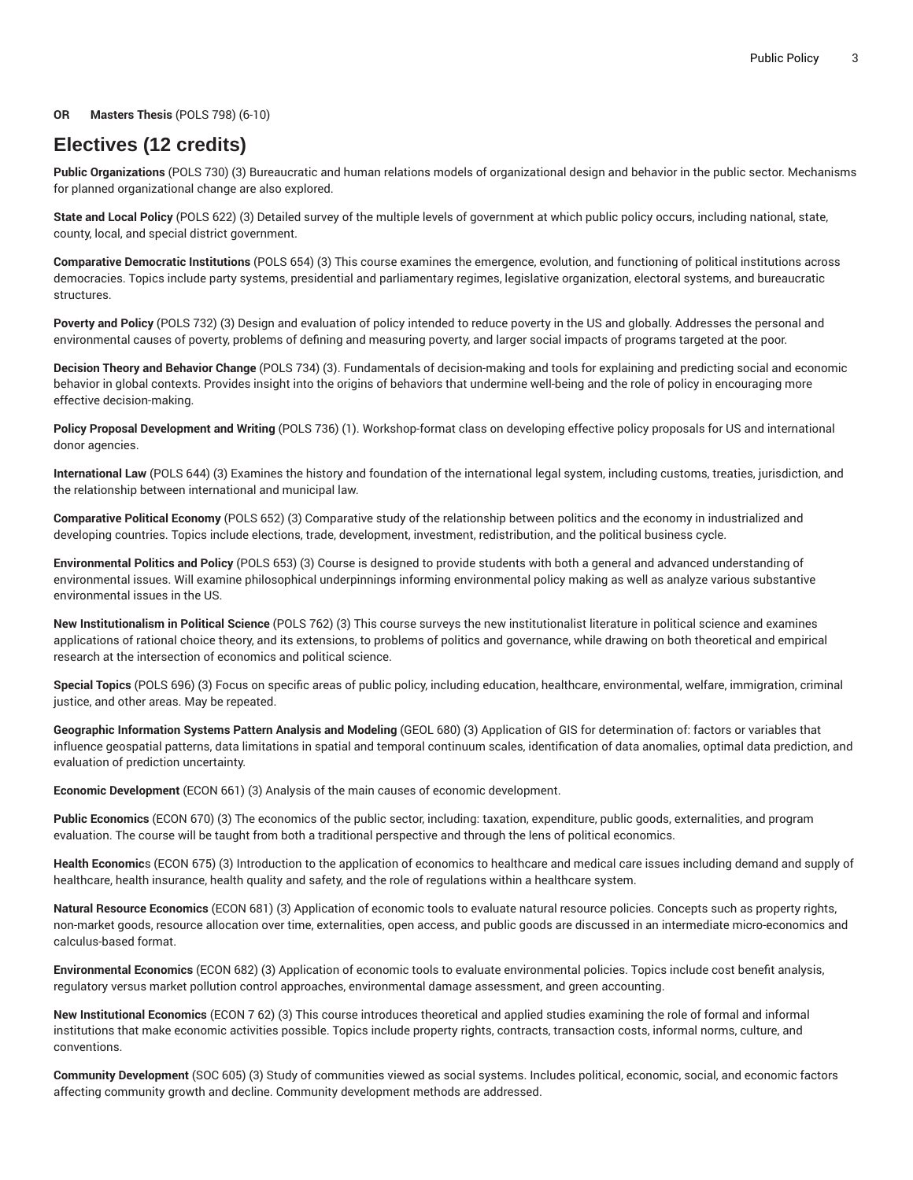#### **OR Masters Thesis** (POLS 798) (6-10)

### **Electives (12 credits)**

**Public Organizations** (POLS 730) (3) Bureaucratic and human relations models of organizational design and behavior in the public sector. Mechanisms for planned organizational change are also explored.

**State and Local Policy** (POLS 622) (3) Detailed survey of the multiple levels of government at which public policy occurs, including national, state, county, local, and special district government.

**Comparative Democratic Institutions** (POLS 654) (3) This course examines the emergence, evolution, and functioning of political institutions across democracies. Topics include party systems, presidential and parliamentary regimes, legislative organization, electoral systems, and bureaucratic structures.

**Poverty and Policy** (POLS 732) (3) Design and evaluation of policy intended to reduce poverty in the US and globally. Addresses the personal and environmental causes of poverty, problems of defining and measuring poverty, and larger social impacts of programs targeted at the poor.

**Decision Theory and Behavior Change** (POLS 734) (3). Fundamentals of decision-making and tools for explaining and predicting social and economic behavior in global contexts. Provides insight into the origins of behaviors that undermine well-being and the role of policy in encouraging more effective decision-making.

**Policy Proposal Development and Writing** (POLS 736) (1). Workshop-format class on developing effective policy proposals for US and international donor agencies.

**International Law** (POLS 644) (3) Examines the history and foundation of the international legal system, including customs, treaties, jurisdiction, and the relationship between international and municipal law.

**Comparative Political Economy** (POLS 652) (3) Comparative study of the relationship between politics and the economy in industrialized and developing countries. Topics include elections, trade, development, investment, redistribution, and the political business cycle.

**Environmental Politics and Policy** (POLS 653) (3) Course is designed to provide students with both a general and advanced understanding of environmental issues. Will examine philosophical underpinnings informing environmental policy making as well as analyze various substantive environmental issues in the US.

**New Institutionalism in Political Science** (POLS 762) (3) This course surveys the new institutionalist literature in political science and examines applications of rational choice theory, and its extensions, to problems of politics and governance, while drawing on both theoretical and empirical research at the intersection of economics and political science.

**Special Topics** (POLS 696) (3) Focus on specific areas of public policy, including education, healthcare, environmental, welfare, immigration, criminal justice, and other areas. May be repeated.

**Geographic Information Systems Pattern Analysis and Modeling** (GEOL 680) (3) Application of GIS for determination of: factors or variables that influence geospatial patterns, data limitations in spatial and temporal continuum scales, identification of data anomalies, optimal data prediction, and evaluation of prediction uncertainty.

**Economic Development** (ECON 661) (3) Analysis of the main causes of economic development.

**Public Economics** (ECON 670) (3) The economics of the public sector, including: taxation, expenditure, public goods, externalities, and program evaluation. The course will be taught from both a traditional perspective and through the lens of political economics.

**Health Economic**s (ECON 675) (3) Introduction to the application of economics to healthcare and medical care issues including demand and supply of healthcare, health insurance, health quality and safety, and the role of regulations within a healthcare system.

**Natural Resource Economics** (ECON 681) (3) Application of economic tools to evaluate natural resource policies. Concepts such as property rights, non-market goods, resource allocation over time, externalities, open access, and public goods are discussed in an intermediate micro-economics and calculus-based format.

**Environmental Economics** (ECON 682) (3) Application of economic tools to evaluate environmental policies. Topics include cost benefit analysis, regulatory versus market pollution control approaches, environmental damage assessment, and green accounting.

**New Institutional Economics** (ECON 7 62) (3) This course introduces theoretical and applied studies examining the role of formal and informal institutions that make economic activities possible. Topics include property rights, contracts, transaction costs, informal norms, culture, and conventions.

**Community Development** (SOC 605) (3) Study of communities viewed as social systems. Includes political, economic, social, and economic factors affecting community growth and decline. Community development methods are addressed.